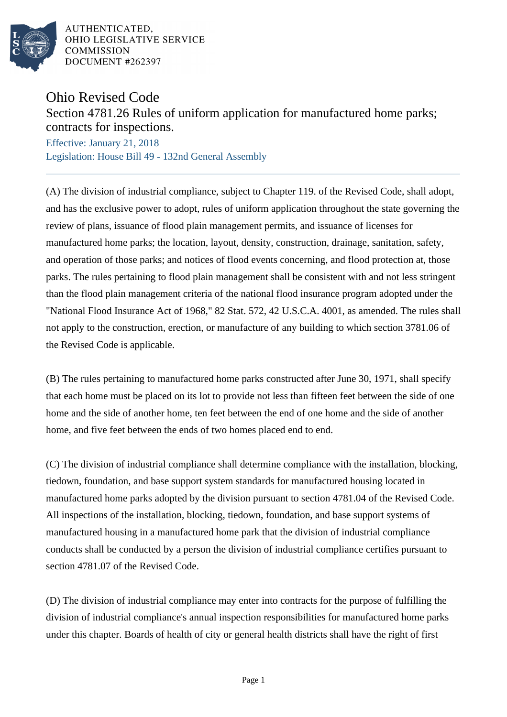

AUTHENTICATED. OHIO LEGISLATIVE SERVICE **COMMISSION** DOCUMENT #262397

## Ohio Revised Code

## Section 4781.26 Rules of uniform application for manufactured home parks; contracts for inspections.

Effective: January 21, 2018 Legislation: House Bill 49 - 132nd General Assembly

(A) The division of industrial compliance, subject to Chapter 119. of the Revised Code, shall adopt, and has the exclusive power to adopt, rules of uniform application throughout the state governing the review of plans, issuance of flood plain management permits, and issuance of licenses for manufactured home parks; the location, layout, density, construction, drainage, sanitation, safety, and operation of those parks; and notices of flood events concerning, and flood protection at, those parks. The rules pertaining to flood plain management shall be consistent with and not less stringent than the flood plain management criteria of the national flood insurance program adopted under the "National Flood Insurance Act of 1968," 82 Stat. 572, 42 U.S.C.A. 4001, as amended. The rules shall not apply to the construction, erection, or manufacture of any building to which section 3781.06 of the Revised Code is applicable.

(B) The rules pertaining to manufactured home parks constructed after June 30, 1971, shall specify that each home must be placed on its lot to provide not less than fifteen feet between the side of one home and the side of another home, ten feet between the end of one home and the side of another home, and five feet between the ends of two homes placed end to end.

(C) The division of industrial compliance shall determine compliance with the installation, blocking, tiedown, foundation, and base support system standards for manufactured housing located in manufactured home parks adopted by the division pursuant to section 4781.04 of the Revised Code. All inspections of the installation, blocking, tiedown, foundation, and base support systems of manufactured housing in a manufactured home park that the division of industrial compliance conducts shall be conducted by a person the division of industrial compliance certifies pursuant to section 4781.07 of the Revised Code.

(D) The division of industrial compliance may enter into contracts for the purpose of fulfilling the division of industrial compliance's annual inspection responsibilities for manufactured home parks under this chapter. Boards of health of city or general health districts shall have the right of first